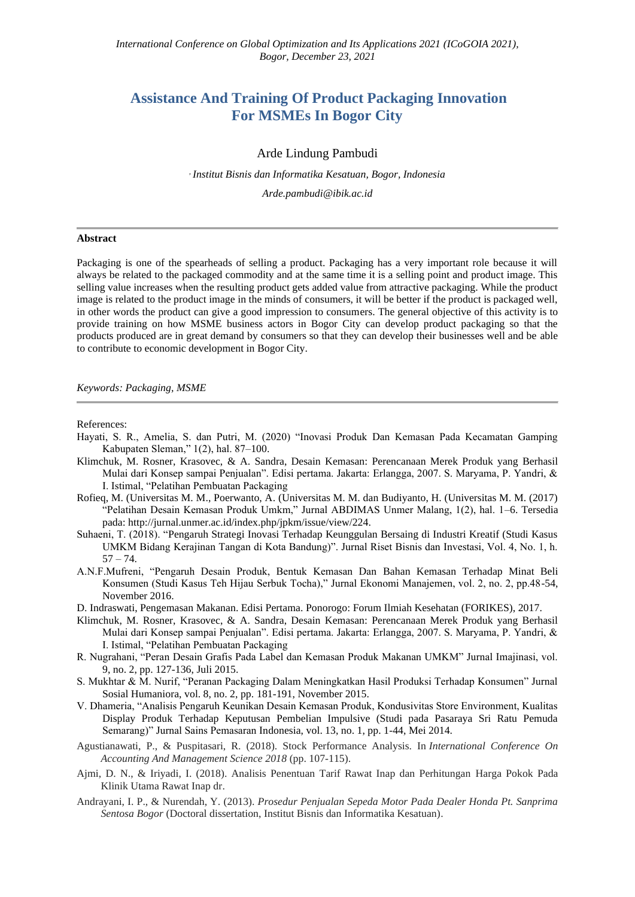## **Assistance And Training Of Product Packaging Innovation For MSMEs In Bogor City**

## Arde Lindung Pambudi

*, Institut Bisnis dan Informatika Kesatuan, Bogor, Indonesia Arde.pambudi@ibik.ac.id*

## **Abstract**

Packaging is one of the spearheads of selling a product. Packaging has a very important role because it will always be related to the packaged commodity and at the same time it is a selling point and product image. This selling value increases when the resulting product gets added value from attractive packaging. While the product image is related to the product image in the minds of consumers, it will be better if the product is packaged well, in other words the product can give a good impression to consumers. The general objective of this activity is to provide training on how MSME business actors in Bogor City can develop product packaging so that the products produced are in great demand by consumers so that they can develop their businesses well and be able to contribute to economic development in Bogor City.

*Keywords: Packaging, MSME*

References:

- Hayati, S. R., Amelia, S. dan Putri, M. (2020) "Inovasi Produk Dan Kemasan Pada Kecamatan Gamping Kabupaten Sleman," 1(2), hal. 87–100.
- Klimchuk, M. Rosner, Krasovec, & A. Sandra, Desain Kemasan: Perencanaan Merek Produk yang Berhasil Mulai dari Konsep sampai Penjualan". Edisi pertama. Jakarta: Erlangga, 2007. S. Maryama, P. Yandri, & I. Istimal, "Pelatihan Pembuatan Packaging
- Rofieq, M. (Universitas M. M., Poerwanto, A. (Universitas M. M. dan Budiyanto, H. (Universitas M. M. (2017) "Pelatihan Desain Kemasan Produk Umkm," Jurnal ABDIMAS Unmer Malang, 1(2), hal. 1–6. Tersedia pada: http://jurnal.unmer.ac.id/index.php/jpkm/issue/view/224.
- Suhaeni, T. (2018). "Pengaruh Strategi Inovasi Terhadap Keunggulan Bersaing di Industri Kreatif (Studi Kasus UMKM Bidang Kerajinan Tangan di Kota Bandung)". Jurnal Riset Bisnis dan Investasi, Vol. 4, No. 1, h.  $57 - 74.$
- A.N.F.Mufreni, "Pengaruh Desain Produk, Bentuk Kemasan Dan Bahan Kemasan Terhadap Minat Beli Konsumen (Studi Kasus Teh Hijau Serbuk Tocha)," Jurnal Ekonomi Manajemen, vol. 2, no. 2, pp.48-54, November 2016.
- D. Indraswati, Pengemasan Makanan. Edisi Pertama. Ponorogo: Forum Ilmiah Kesehatan (FORIKES), 2017.
- Klimchuk, M. Rosner, Krasovec, & A. Sandra, Desain Kemasan: Perencanaan Merek Produk yang Berhasil Mulai dari Konsep sampai Penjualan". Edisi pertama. Jakarta: Erlangga, 2007. S. Maryama, P. Yandri, & I. Istimal, "Pelatihan Pembuatan Packaging
- R. Nugrahani, "Peran Desain Grafis Pada Label dan Kemasan Produk Makanan UMKM" Jurnal Imajinasi, vol. 9, no. 2, pp. 127-136, Juli 2015.
- S. Mukhtar & M. Nurif, "Peranan Packaging Dalam Meningkatkan Hasil Produksi Terhadap Konsumen" Jurnal Sosial Humaniora, vol. 8, no. 2, pp. 181-191, November 2015.
- V. Dhameria, "Analisis Pengaruh Keunikan Desain Kemasan Produk, Kondusivitas Store Environment, Kualitas Display Produk Terhadap Keputusan Pembelian Impulsive (Studi pada Pasaraya Sri Ratu Pemuda Semarang)" Jurnal Sains Pemasaran Indonesia, vol. 13, no. 1, pp. 1-44, Mei 2014.
- Agustianawati, P., & Puspitasari, R. (2018). Stock Performance Analysis. In *International Conference On Accounting And Management Science 2018* (pp. 107-115).
- Ajmi, D. N., & Iriyadi, I. (2018). Analisis Penentuan Tarif Rawat Inap dan Perhitungan Harga Pokok Pada Klinik Utama Rawat Inap dr.
- Andrayani, I. P., & Nurendah, Y. (2013). *Prosedur Penjualan Sepeda Motor Pada Dealer Honda Pt. Sanprima Sentosa Bogor* (Doctoral dissertation, Institut Bisnis dan Informatika Kesatuan).